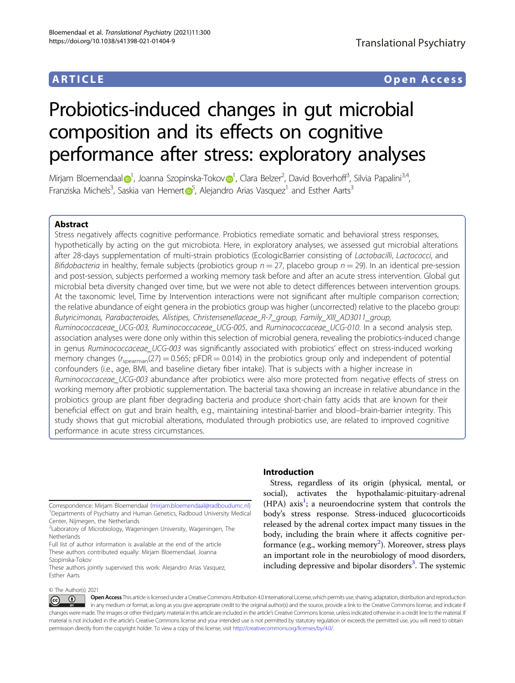## ARTICLE Open Access

# Probiotics-induced changes in gut microbial composition and its effects on cognitive performance after stress: exploratory analyses

Mirjam B[l](http://orcid.org/0000-0001-5897-0649)oemendaal $\bigcirc^1$  $\bigcirc^1$ , Joanna Szopinska-Toko[v](http://orcid.org/0000-0001-8608-5081) $\bigcirc^1$ , Clara Belzer<sup>2</sup>, David Boverhoff<sup>3</sup>, Silvia Papalini<sup>3,4</sup>, Franziska Michels<sup>3</sup>, Saskia van Hemer[t](http://orcid.org/0000-0002-1098-1477) $\overline{\mathbb{O}}^5$  $\overline{\mathbb{O}}^5$ , Alejandro Arias Vasquez<sup>1</sup> and Esther Aarts<sup>3</sup>

### Abstract

Stress negatively affects cognitive performance. Probiotics remediate somatic and behavioral stress responses, hypothetically by acting on the gut microbiota. Here, in exploratory analyses, we assessed gut microbial alterations after 28-days supplementation of multi-strain probiotics (EcologicBarrier consisting of Lactobacilli, Lactococci, and Bifidobacteria in healthy, female subjects (probiotics group  $n = 27$ , placebo group  $n = 29$ ). In an identical pre-session and post-session, subjects performed a working memory task before and after an acute stress intervention. Global gut microbial beta diversity changed over time, but we were not able to detect differences between intervention groups. At the taxonomic level, Time by Intervention interactions were not significant after multiple comparison correction; the relative abundance of eight genera in the probiotics group was higher (uncorrected) relative to the placebo group: Butyricimonas, Parabacteroides, Alistipes, Christensenellaceae\_R-7\_group, Family\_XIII\_AD3011\_group, Ruminococcaceae\_UCG-003, Ruminococcaceae\_UCG-005, and Ruminococcaceae\_UCG-010. In a second analysis step, association analyses were done only within this selection of microbial genera, revealing the probiotics-induced change in genus Ruminococcaceae\_UCG-003 was significantly associated with probiotics' effect on stress-induced working memory changes ( $r_{\text{spearman}}(27) = 0.565$ ; pFDR = 0.014) in the probiotics group only and independent of potential confounders (i.e., age, BMI, and baseline dietary fiber intake). That is subjects with a higher increase in Ruminococcaceae\_UCG-003 abundance after probiotics were also more protected from negative effects of stress on working memory after probiotic supplementation. The bacterial taxa showing an increase in relative abundance in the probiotics group are plant fiber degrading bacteria and produce short-chain fatty acids that are known for their beneficial effect on gut and brain health, e.g., maintaining intestinal-barrier and blood–brain-barrier integrity. This study shows that gut microbial alterations, modulated through probiotics use, are related to improved cognitive performance in acute stress circumstances.

© The Author(s) 2021

#### Introduction

Stress, regardless of its origin (physical, mental, or social), activates the hypothalamic-pituitary-adrenal (HPA) axis<sup>1</sup>; a neuroendocrine system that controls the body's stress response. Stress-induced glucocorticoids released by the adrenal cortex impact many tissues in the body, including the brain where it affects cognitive per-formance (e.g., working memory<sup>[2](#page-9-0)</sup>). Moreover, stress plays an important role in the neurobiology of mood disorders, including depressive and bipolar disorders<sup>[3](#page-9-0)</sup>. The systemic

Open Access This article is licensed under a Creative Commons Attribution 4.0 International License, which permits use, sharing, adaptation, distribution and reproduction  $\bigcirc$  $\left[{\rm (cc)}\right]$ in any medium or format, as long as you give appropriate credit to the original author(s) and the source, provide a link to the Creative Commons license, and indicate if changes were made. The images or other third party material in this article are included in the article's Creative Commons license, unless indicated otherwise in a credit line to the material. If material is not included in the article's Creative Commons license and your intended use is not permitted by statutory regulation or exceeds the permitted use, you will need to obtain permission directly from the copyright holder. To view a copy of this license, visit <http://creativecommons.org/licenses/by/4.0/>.

Correspondence: Mirjam Bloemendaal ([mirjam.bloemendaal@radboudumc.nl\)](mailto:mirjam.bloemendaal@radboudumc.nl) <sup>1</sup> <sup>1</sup>Departments of Psychiatry and Human Genetics, Radboud University Medical Center, Nijmegen, the Netherlands

<sup>2</sup> Laboratory of Microbiology, Wageningen University, Wageningen, The **Netherlands** 

Full list of author information is available at the end of the article These authors contributed equally: Mirjam Bloemendaal, Joanna Szopinska-Tokov

These authors jointly supervised this work: Alejandro Arias Vasquez, Esther Aarts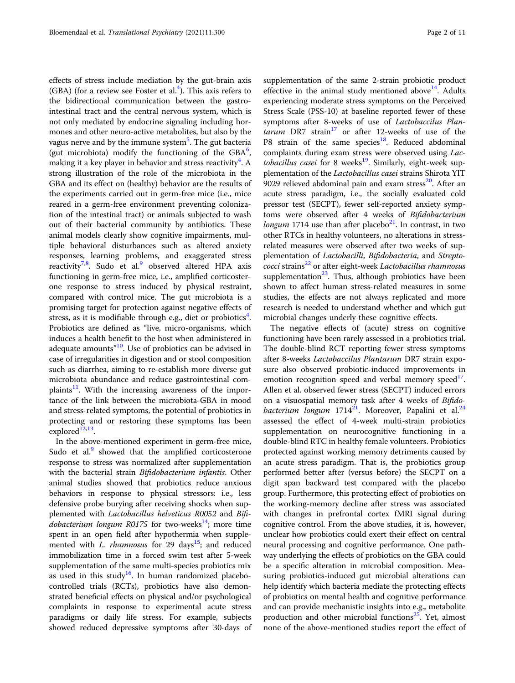effects of stress include mediation by the gut-brain axis (GBA) (for a review see Foster et al.<sup>[4](#page-9-0)</sup>). This axis refers to the bidirectional communication between the gastrointestinal tract and the central nervous system, which is not only mediated by endocrine signaling including hormones and other neuro-active metabolites, but also by the vagus nerve and by the immune system<sup>[5](#page-9-0)</sup>. The gut bacteria (gut microbiota) modify the functioning of the  $\text{GBA}^6$  $\text{GBA}^6$ , making it a key player in behavior and stress reactivity<sup>[4](#page-9-0)</sup>. A strong illustration of the role of the microbiota in the GBA and its effect on (healthy) behavior are the results of the experiments carried out in germ-free mice (i.e., mice reared in a germ-free environment preventing colonization of the intestinal tract) or animals subjected to wash out of their bacterial community by antibiotics. These animal models clearly show cognitive impairments, multiple behavioral disturbances such as altered anxiety responses, learning problems, and exaggerated stress reactivity<sup>[7](#page-9-0),[8](#page-9-0)</sup>. Sudo et al.<sup>[9](#page-9-0)</sup> observed altered HPA axis functioning in germ-free mice, i.e., amplified corticosterone response to stress induced by physical restraint, compared with control mice. The gut microbiota is a promising target for protection against negative effects of stress, as it is modifiable through e.g., diet or probiotics<sup>[4](#page-9-0)</sup>. Probiotics are defined as "live, micro-organisms, which induces a health benefit to the host when administered in adequate amounts"<sup>[10](#page-9-0)</sup>. Use of probiotics can be advised in case of irregularities in digestion and or stool composition such as diarrhea, aiming to re-establish more diverse gut microbiota abundance and reduce gastrointestinal complaints<sup>11</sup>. With the increasing awareness of the importance of the link between the microbiota-GBA in mood and stress-related symptoms, the potential of probiotics in protecting and or restoring these symptoms has been explored $12,13$  $12,13$  $12,13$ .

In the above-mentioned experiment in germ-free mice, Sudo et al.<sup>9</sup> showed that the amplified corticosterone response to stress was normalized after supplementation with the bacterial strain Bifidobacterium infantis. Other animal studies showed that probiotics reduce anxious behaviors in response to physical stressors: i.e., less defensive probe burying after receiving shocks when supplemented with Lactobacillus helveticus R0052 and Bifi*dobacterium longum R0175* for two-weeks<sup>14</sup>; more time spent in an open field after hypothermia when supplemented with L. rhamnosus for 29 days<sup>15</sup>; and reduced immobilization time in a forced swim test after 5-week supplementation of the same multi-species probiotics mix as used in this study<sup>[16](#page-9-0)</sup>. In human randomized placebocontrolled trials (RCTs), probiotics have also demonstrated beneficial effects on physical and/or psychological complaints in response to experimental acute stress paradigms or daily life stress. For example, subjects showed reduced depressive symptoms after 30-days of

supplementation of the same 2-strain probiotic product effective in the animal study mentioned above<sup>14</sup>. Adults experiencing moderate stress symptoms on the Perceived Stress Scale (PSS-10) at baseline reported fewer of these symptoms after 8-weeks of use of Lactobaccilus Plan $tarum$  DR7 strain<sup>[17](#page-9-0)</sup> or after 12-weeks of use of the P8 strain of the same species $18$ . Reduced abdominal complaints during exam stress were observed using Lactobacillus casei for 8 weeks<sup>19</sup>. Similarly, eight-week supplementation of the Lactobacillus casei strains Shirota YIT 9029 relieved abdominal pain and exam stress $20$ . After an acute stress paradigm, i.e., the socially evaluated cold pressor test (SECPT), fewer self-reported anxiety symptoms were observed after 4 weeks of Bifidobacterium *longum* 1714 use than after placebo $^{21}$ . In contrast, in two other RTCs in healthy volunteers, no alterations in stressrelated measures were observed after two weeks of supplementation of Lactobacilli, Bifidobacteria, and Strepto $cocci$  strains<sup>22</sup> or after eight-week *Lactobacillus rhamnosus* supplementation $^{23}$ . Thus, although probiotics have been shown to affect human stress-related measures in some studies, the effects are not always replicated and more research is needed to understand whether and which gut microbial changes underly these cognitive effects.

The negative effects of (acute) stress on cognitive functioning have been rarely assessed in a probiotics trial. The double-blind RCT reporting fewer stress symptoms after 8-weeks Lactobaccilus Plantarum DR7 strain exposure also observed probiotic-induced improvements in emotion recognition speed and verbal memory speed  $\mathbf{I}$ . Allen et al. observed fewer stress (SECPT) induced errors on a visuospatial memory task after 4 weeks of Bifidobacterium longum  $1714^{21}$ . Moreover, Papalini et al.<sup>24</sup> assessed the effect of 4-week multi-strain probiotics supplementation on neurocognitive functioning in a double-blind RTC in healthy female volunteers. Probiotics protected against working memory detriments caused by an acute stress paradigm. That is, the probiotics group performed better after (versus before) the SECPT on a digit span backward test compared with the placebo group. Furthermore, this protecting effect of probiotics on the working-memory decline after stress was associated with changes in prefrontal cortex fMRI signal during cognitive control. From the above studies, it is, however, unclear how probiotics could exert their effect on central neural processing and cognitive performance. One pathway underlying the effects of probiotics on the GBA could be a specific alteration in microbial composition. Measuring probiotics-induced gut microbial alterations can help identify which bacteria mediate the protecting effects of probiotics on mental health and cognitive performance and can provide mechanistic insights into e.g., metabolite production and other microbial functions<sup>25</sup>. Yet, almost none of the above-mentioned studies report the effect of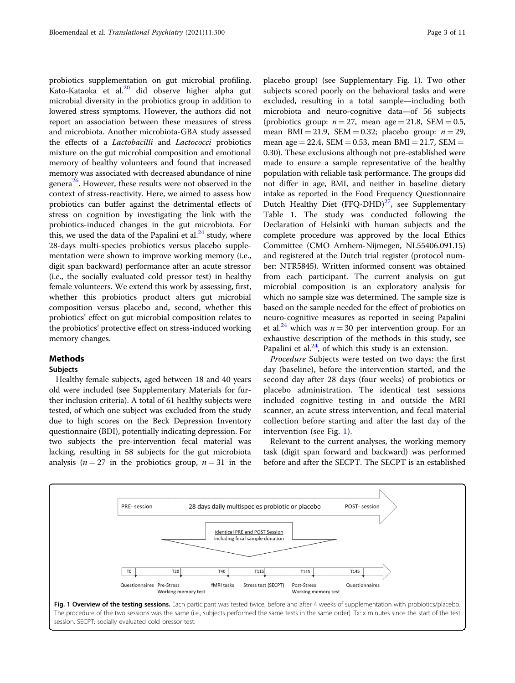probiotics supplementation on gut microbial profiling. Kato-Kataoka et al.[20](#page-9-0) did observe higher alpha gut microbial diversity in the probiotics group in addition to lowered stress symptoms. However, the authors did not report an association between these measures of stress and microbiota. Another microbiota-GBA study assessed the effects of a Lactobacilli and Lactococci probiotics mixture on the gut microbial composition and emotional memory of healthy volunteers and found that increased memory was associated with decreased abundance of nine genera<sup>26</sup>. However, these results were not observed in the context of stress-reactivity. Here, we aimed to assess how probiotics can buffer against the detrimental effects of stress on cognition by investigating the link with the probiotics-induced changes in the gut microbiota. For this, we used the data of the Papalini et al. $^{24}$  $^{24}$  $^{24}$  study, where 28-days multi-species probiotics versus placebo supplementation were shown to improve working memory (i.e., digit span backward) performance after an acute stressor (i.e., the socially evaluated cold pressor test) in healthy female volunteers. We extend this work by assessing, first, whether this probiotics product alters gut microbial composition versus placebo and, second, whether this probiotics' effect on gut microbial composition relates to the probiotics' protective effect on stress-induced working memory changes.

#### Methods

#### Subjects

Healthy female subjects, aged between 18 and 40 years old were included (see Supplementary Materials for further inclusion criteria). A total of 61 healthy subjects were tested, of which one subject was excluded from the study due to high scores on the Beck Depression Inventory questionnaire (BDI), potentially indicating depression. For two subjects the pre-intervention fecal material was lacking, resulting in 58 subjects for the gut microbiota analysis ( $n = 27$  in the probiotics group,  $n = 31$  in the

placebo group) (see Supplementary Fig. 1). Two other subjects scored poorly on the behavioral tasks and were excluded, resulting in a total sample—including both microbiota and neuro-cognitive data—of 56 subjects (probiotics group:  $n = 27$ , mean age = 21.8, SEM = 0.5, mean BMI = 21.9, SEM = 0.32; placebo group:  $n = 29$ , mean age  $= 22.4$ , SEM  $= 0.53$ , mean BMI  $= 21.7$ , SEM  $=$ 0.30). These exclusions although not pre-established were made to ensure a sample representative of the healthy population with reliable task performance. The groups did not differ in age, BMI, and neither in baseline dietary intake as reported in the Food Frequency Questionnaire Dutch Healthy Diet (FFQ-DHD) $^{27}$ , see Supplementary Table 1. The study was conducted following the Declaration of Helsinki with human subjects and the complete procedure was approved by the local Ethics Committee (CMO Arnhem-Nijmegen, NL55406.091.15) and registered at the Dutch trial register (protocol number: NTR5845). Written informed consent was obtained from each participant. The current analysis on gut microbial composition is an exploratory analysis for which no sample size was determined. The sample size is based on the sample needed for the effect of probiotics on neuro-cognitive measures as reported in seeing Papalini et al.<sup>[24](#page-10-0)</sup> which was  $n = 30$  per intervention group. For an exhaustive description of the methods in this study, see Papalini et al. $24$ , of which this study is an extension.

Procedure Subjects were tested on two days: the first day (baseline), before the intervention started, and the second day after 28 days (four weeks) of probiotics or placebo administration. The identical test sessions included cognitive testing in and outside the MRI scanner, an acute stress intervention, and fecal material collection before starting and after the last day of the intervention (see Fig. 1).

Relevant to the current analyses, the working memory task (digit span forward and backward) was performed before and after the SECPT. The SECPT is an established

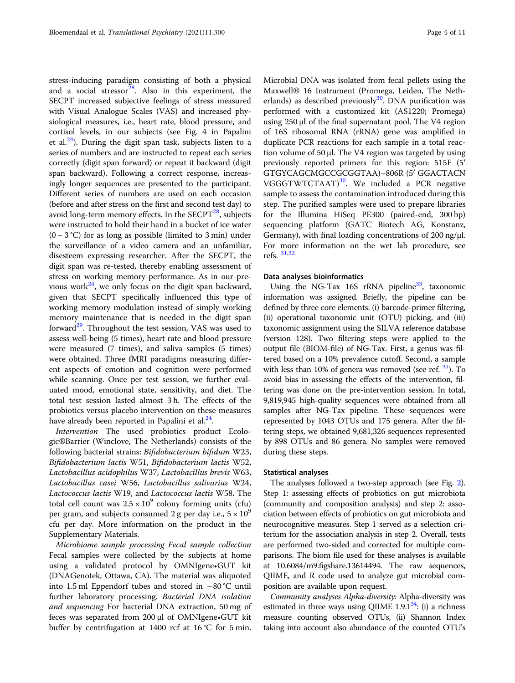stress-inducing paradigm consisting of both a physical and a social stressor<sup>28</sup>. Also in this experiment, the SECPT increased subjective feelings of stress measured with Visual Analogue Scales (VAS) and increased physiological measures, i.e., heart rate, blood pressure, and cortisol levels, in our subjects (see Fig. 4 in Papalini et al.<sup>24</sup>). During the digit span task, subjects listen to a series of numbers and are instructed to repeat each series correctly (digit span forward) or repeat it backward (digit span backward). Following a correct response, increasingly longer sequences are presented to the participant. Different series of numbers are used on each occasion (before and after stress on the first and second test day) to avoid long-term memory effects. In the  $SECPT^{28}$ , subjects were instructed to hold their hand in a bucket of ice water  $(0 - 3 \degree C)$  for as long as possible (limited to 3 min) under the surveillance of a video camera and an unfamiliar, disesteem expressing researcher. After the SECPT, the digit span was re-tested, thereby enabling assessment of stress on working memory performance. As in our previous work $^{24}$  $^{24}$  $^{24}$ , we only focus on the digit span backward, given that SECPT specifically influenced this type of working memory modulation instead of simply working memory maintenance that is needed in the digit span forward $^{29}$ . Throughout the test session, VAS was used to assess well-being (5 times), heart rate and blood pressure were measured (7 times), and saliva samples (5 times) were obtained. Three fMRI paradigms measuring different aspects of emotion and cognition were performed while scanning. Once per test session, we further evaluated mood, emotional state, sensitivity, and diet. The total test session lasted almost 3 h. The effects of the probiotics versus placebo intervention on these measures have already been reported in Papalini et al. $^{24}$  $^{24}$  $^{24}$ .

Intervention The used probiotics product Ecologic®Barrier (Winclove, The Netherlands) consists of the following bacterial strains: Bifidobacterium bifidum W23, Bifidobacterium lactis W51, Bifidobacterium lactis W52, Lactobacillus acidophilus W37, Lactobacillus brevis W63, Lactobacillus casei W56, Lactobacillus salivarius W24, Lactococcus lactis W19, and Lactococcus lactis W58. The total cell count was  $2.5 \times 10^9$  colony forming units (cfu) per gram, and subjects consumed 2 g per day i.e.,  $5 \times 10^9$ cfu per day. More information on the product in the Supplementary Materials.

Microbiome sample processing Fecal sample collection Fecal samples were collected by the subjects at home using a validated protocol by OMNIgene•GUT kit (DNAGenotek, Ottawa, CA). The material was aliquoted into 1.5 ml Eppendorf tubes and stored in −80 °C until further laboratory processing. Bacterial DNA isolation and sequencing For bacterial DNA extraction, 50 mg of feces was separated from 200 µl of OMNIgene•GUT kit buffer by centrifugation at 1400 rcf at 16 °C for 5 min.

Microbial DNA was isolated from fecal pellets using the Maxwell® 16 Instrument (Promega, Leiden, The Netherlands) as described previously $30$ . DNA purification was performed with a customized kit (AS1220; Promega) using 250 μl of the final supernatant pool. The V4 region of 16S ribosomal RNA (rRNA) gene was amplified in duplicate PCR reactions for each sample in a total reaction volume of 50 μl. The V4 region was targeted by using previously reported primers for this region: 515F (5′ GTGYCAGCMGCCGCGGTAA)–806R (5′ GGACTACN VGGGTWTCTAAT)<sup>30</sup>. We included a PCR negative sample to assess the contamination introduced during this step. The purified samples were used to prepare libraries for the Illumina HiSeq PE300 (paired-end, 300 bp) sequencing platform (GATC Biotech AG, Konstanz, Germany), with final loading concentrations of 200 ng/µl. For more information on the wet lab procedure, see refs. [31](#page-10-0),[32](#page-10-0)

#### Data analyses bioinformatics

Using the NG-Tax 16S rRNA pipeline<sup>33</sup>, taxonomic information was assigned. Briefly, the pipeline can be defined by three core elements: (i) barcode-primer filtering, (ii) operational taxonomic unit (OTU) picking, and (iii) taxonomic assignment using the SILVA reference database (version 128). Two filtering steps were applied to the output file (BIOM-file) of NG-Tax. First, a genus was filtered based on a 10% prevalence cutoff. Second, a sample with less than 10% of genera was removed (see ref.  $31$ ). To avoid bias in assessing the effects of the intervention, filtering was done on the pre-intervention session. In total, 9,819,945 high-quality sequences were obtained from all samples after NG-Tax pipeline. These sequences were represented by 1043 OTUs and 175 genera. After the filtering steps, we obtained 9,681,326 sequences represented by 898 OTUs and 86 genera. No samples were removed during these steps.

#### Statistical analyses

The analyses followed a two-step approach (see Fig. [2](#page-4-0)). Step 1: assessing effects of probiotics on gut microbiota (community and composition analysis) and step 2: association between effects of probiotics on gut microbiota and neurocognitive measures. Step 1 served as a selection criterium for the association analysis in step 2. Overall, tests are performed two-sided and corrected for multiple comparisons. The biom file used for these analyses is available at 10.6084/m9.figshare.13614494. The raw sequences, QIIME, and R code used to analyze gut microbial composition are available upon request.

Community analyses Alpha-diversity: Alpha-diversity was estimated in three ways using QIIME  $1.9.1^{34}$ : (i) a richness measure counting observed OTUs, (ii) Shannon Index taking into account also abundance of the counted OTU's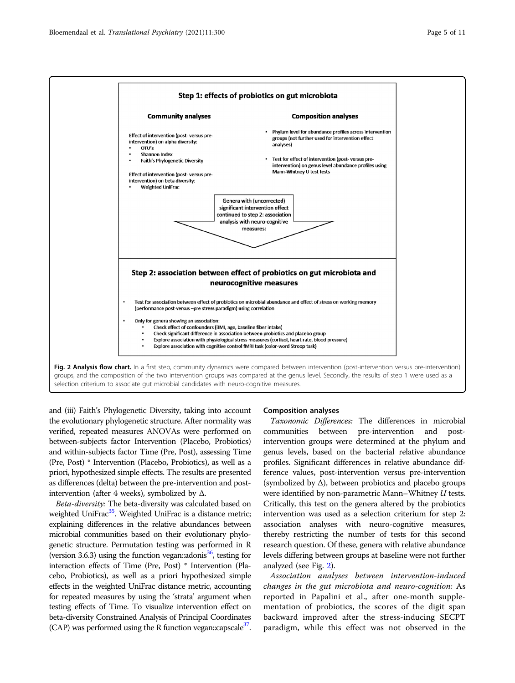<span id="page-4-0"></span>

selection criterium to associate gut microbial candidates with neuro-cognitive measures.

and (iii) Faith's Phylogenetic Diversity, taking into account the evolutionary phylogenetic structure. After normality was verified, repeated measures ANOVAs were performed on between-subjects factor Intervention (Placebo, Probiotics) and within-subjects factor Time (Pre, Post), assessing Time (Pre, Post) \* Intervention (Placebo, Probiotics), as well as a priori, hypothesized simple effects. The results are presented as differences (delta) between the pre-intervention and postintervention (after 4 weeks), symbolized by  $Δ$ .

Beta-diversity: The beta-diversity was calculated based on weighted UniFrac<sup>[35](#page-10-0)</sup>. Weighted UniFrac is a distance metric; explaining differences in the relative abundances between microbial communities based on their evolutionary phylogenetic structure. Permutation testing was performed in R (version 3.6.3) using the function vegan:: $adonis<sup>36</sup>$ , testing for interaction effects of Time (Pre, Post) \* Intervention (Placebo, Probiotics), as well as a priori hypothesized simple effects in the weighted UniFrac distance metric, accounting for repeated measures by using the 'strata' argument when testing effects of Time. To visualize intervention effect on beta-diversity Constrained Analysis of Principal Coordinates (CAP) was performed using the R function vegan::capscale<sup>37</sup>.

#### Composition analyses

Taxonomic Differences: The differences in microbial communities between pre-intervention and postintervention groups were determined at the phylum and genus levels, based on the bacterial relative abundance profiles. Significant differences in relative abundance difference values, post-intervention versus pre-intervention (symbolized by  $\Delta$ ), between probiotics and placebo groups were identified by non-parametric Mann–Whitney U tests. Critically, this test on the genera altered by the probiotics intervention was used as a selection criterium for step 2: association analyses with neuro-cognitive measures, thereby restricting the number of tests for this second research question. Of these, genera with relative abundance levels differing between groups at baseline were not further analyzed (see Fig. 2).

Association analyses between intervention-induced changes in the gut microbiota and neuro-cognition: As reported in Papalini et al., after one-month supplementation of probiotics, the scores of the digit span backward improved after the stress-inducing SECPT paradigm, while this effect was not observed in the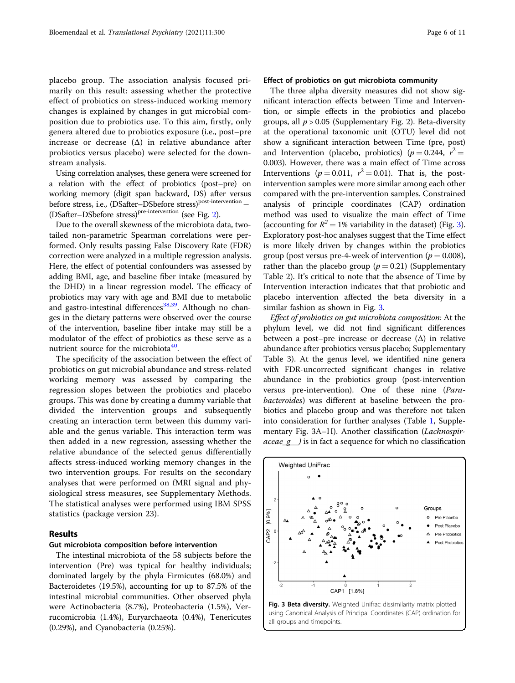placebo group. The association analysis focused primarily on this result: assessing whether the protective effect of probiotics on stress-induced working memory changes is explained by changes in gut microbial composition due to probiotics use. To this aim, firstly, only genera altered due to probiotics exposure (i.e., post–pre increase or decrease (Δ) in relative abundance after probiotics versus placebo) were selected for the downstream analysis.

Using correlation analyses, these genera were screened for a relation with the effect of probiotics (post–pre) on working memory (digit span backward, DS) after versus before stress, i.e., (DSafter–DSbefore stress)<sup>post-intervention</sup> − (DSafter–DSbefore stress)<sup>pre-intervention</sup> (see Fig. [2](#page-4-0)).

Due to the overall skewness of the microbiota data, twotailed non-parametric Spearman correlations were performed. Only results passing False Discovery Rate (FDR) correction were analyzed in a multiple regression analysis. Here, the effect of potential confounders was assessed by adding BMI, age, and baseline fiber intake (measured by the DHD) in a linear regression model. The efficacy of probiotics may vary with age and BMI due to metabolic and gastro-intestinal differences $38,39$  $38,39$  $38,39$ . Although no changes in the dietary patterns were observed over the course of the intervention, baseline fiber intake may still be a modulator of the effect of probiotics as these serve as a nutrient source for the microbiota $40$ .

The specificity of the association between the effect of probiotics on gut microbial abundance and stress-related working memory was assessed by comparing the regression slopes between the probiotics and placebo groups. This was done by creating a dummy variable that divided the intervention groups and subsequently creating an interaction term between this dummy variable and the genus variable. This interaction term was then added in a new regression, assessing whether the relative abundance of the selected genus differentially affects stress-induced working memory changes in the two intervention groups. For results on the secondary analyses that were performed on fMRI signal and physiological stress measures, see Supplementary Methods. The statistical analyses were performed using IBM SPSS statistics (package version 23).

#### Results

#### Gut microbiota composition before intervention

The intestinal microbiota of the 58 subjects before the intervention (Pre) was typical for healthy individuals; dominated largely by the phyla Firmicutes (68.0%) and Bacteroidetes (19.5%), accounting for up to 87.5% of the intestinal microbial communities. Other observed phyla were Actinobacteria (8.7%), Proteobacteria (1.5%), Verrucomicrobia (1.4%), Euryarchaeota (0.4%), Tenericutes (0.29%), and Cyanobacteria (0.25%).

#### Effect of probiotics on gut microbiota community

The three alpha diversity measures did not show significant interaction effects between Time and Intervention, or simple effects in the probiotics and placebo groups, all  $p > 0.05$  (Supplementary Fig. 2). Beta-diversity at the operational taxonomic unit (OTU) level did not show a significant interaction between Time (pre, post) and Intervention (placebo, probiotics) ( $p = 0.244$ ,  $r^2 =$ 0.003). However, there was a main effect of Time across Interventions ( $p = 0.011$ ,  $r^2 = 0.01$ ). That is, the postintervention samples were more similar among each other compared with the pre-intervention samples. Constrained analysis of principle coordinates (CAP) ordination method was used to visualize the main effect of Time (accounting for  $R^2 = 1\%$  variability in the dataset) (Fig. 3). Exploratory post-hoc analyses suggest that the Time effect is more likely driven by changes within the probiotics group (post versus pre-4-week of intervention ( $p = 0.008$ ), rather than the placebo group ( $p = 0.21$ ) (Supplementary Table 2). It's critical to note that the absence of Time by Intervention interaction indicates that that probiotic and placebo intervention affected the beta diversity in a similar fashion as shown in Fig. 3.

Effect of probiotics on gut microbiota composition: At the phylum level, we did not find significant differences between a post–pre increase or decrease  $(\Delta)$  in relative abundance after probiotics versus placebo; Supplementary Table 3). At the genus level, we identified nine genera with FDR-uncorrected significant changes in relative abundance in the probiotics group (post-intervention versus pre-intervention). One of these nine (Parabacteroides) was different at baseline between the probiotics and placebo group and was therefore not taken into consideration for further analyses (Table [1,](#page-6-0) Supplementary Fig. 3A–H). Another classification (Lachnospir- $\textit{aceae\_g}$ ) is in fact a sequence for which no classification



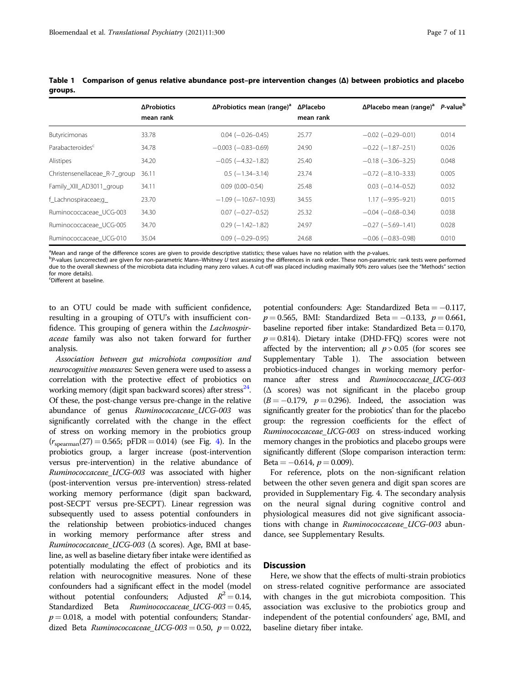|                               | ΔProbiotics<br>mean rank | $\Delta$ Probiotics mean (range) <sup>a</sup> | ΔPlacebo<br>mean rank | $\Delta$ Placebo mean (range) <sup>a</sup> | P-value <sup>b</sup> |
|-------------------------------|--------------------------|-----------------------------------------------|-----------------------|--------------------------------------------|----------------------|
| Butyricimonas                 | 33.78                    | $0.04 (-0.26 - 0.45)$                         | 25.77                 | $-0.02$ ( $-0.29-0.01$ )                   | 0.014                |
| Parabacteroides <sup>c</sup>  | 34.78                    | $-0.003$ ( $-0.83-0.69$ )                     | 24.90                 | $-0.22$ ( $-1.87-2.51$ )                   | 0.026                |
| Alistipes                     | 34.20                    | $-0.05$ ( $-4.32-1.82$ )                      | 25.40                 | $-0.18$ $(-3.06 - 3.25)$                   | 0.048                |
| Christensenellaceae_R-7_group | 36.11                    | $0.5$ (-1.34-3.14)                            | 23.74                 | $-0.72$ ( $-8.10-3.33$ )                   | 0.005                |
| Family XIII AD3011 group      | 34.11                    | $0.09(0.00 - 0.54)$                           | 25.48                 | $0.03$ (-0.14-0.52)                        | 0.032                |
| f_Lachnospiraceae;q_          | 23.70                    | $-1.09$ ( $-10.67-10.93$ )                    | 34.55                 | $1.17$ (-9.95-9.21)                        | 0.015                |
| Ruminococcaceae UCG-003       | 34.30                    | $0.07$ (-0.27-0.52)                           | 25.32                 | $-0.04$ ( $-0.68-0.34$ )                   | 0.038                |
| Ruminococcaceae UCG-005       | 34.70                    | $0.29$ ( $-1.42-1.82$ )                       | 24.97                 | $-0.27$ ( $-5.69-1.41$ )                   | 0.028                |
| Ruminococcaceae_UCG-010       | 35.04                    | $0.09$ ( $-0.29 - 0.95$ )                     | 24.68                 | $-0.06$ ( $-0.83-0.98$ )                   | 0.010                |

<span id="page-6-0"></span>Table 1 Comparison of genus relative abundance post–pre intervention changes (Δ) between probiotics and placebo groups.

<sup>a</sup>Mean and range of the difference scores are given to provide descriptive statistics; these values have no relation with the *p*-values.<br><sup>b</sup>Ravalues (upcorrected) are given for pop-parametric Mann-Whitney U test assessin

 $P$ -values (uncorrected) are given for non-parametric Mann–Whitney U test assessing the differences in rank order. These non-parametric rank tests were performed due to the overall skewness of the microbiota data including many zero values. A cut-off was placed including maximally 90% zero values (see the "Methods" section for more details).

c Different at baseline.

to an OTU could be made with sufficient confidence, resulting in a grouping of OTU's with insufficient confidence. This grouping of genera within the *Lachnospir*aceae family was also not taken forward for further analysis.

Association between gut microbiota composition and neurocognitive measures: Seven genera were used to assess a correlation with the protective effect of probiotics on working memory (digit span backward scores) after stress<sup>24</sup>. Of these, the post-change versus pre-change in the relative abundance of genus Ruminococcaceae UCG-003 was significantly correlated with the change in the effect of stress on working memory in the probiotics group  $(r_{\text{spearman}}(27) = 0.565; \text{ pFDR} = 0.014)$  $(r_{\text{spearman}}(27) = 0.565; \text{ pFDR} = 0.014)$  $(r_{\text{spearman}}(27) = 0.565; \text{ pFDR} = 0.014)$  (see Fig. 4). In the probiotics group, a larger increase (post-intervention versus pre-intervention) in the relative abundance of Ruminococcaceae\_UCG-003 was associated with higher (post-intervention versus pre-intervention) stress-related working memory performance (digit span backward, post-SECPT versus pre-SECPT). Linear regression was subsequently used to assess potential confounders in the relationship between probiotics-induced changes in working memory performance after stress and Ruminococcaceae\_UCG-003 (Δ scores). Age, BMI at baseline, as well as baseline dietary fiber intake were identified as potentially modulating the effect of probiotics and its relation with neurocognitive measures. None of these confounders had a significant effect in the model (model without potential confounders; Adjusted  $R^2 = 0.14$ , Standardized Beta Ruminococcaceae\_UCG-003 = 0.45,  $p = 0.018$ , a model with potential confounders; Standardized Beta Ruminococcaceae  $UCG-003 = 0.50$ ,  $p = 0.022$ ,

potential confounders: Age: Standardized Beta = −0.117,  $p = 0.565$ , BMI: Standardized Beta = -0.133,  $p = 0.661$ , baseline reported fiber intake: Standardized Beta =  $0.170$ ,  $p = 0.814$ ). Dietary intake (DHD-FFQ) scores were not affected by the intervention; all  $p > 0.05$  (for scores see Supplementary Table 1). The association between probiotics-induced changes in working memory performance after stress and Ruminococcaceae UCG-003 (Δ scores) was not significant in the placebo group  $(B = -0.179, p = 0.296)$ . Indeed, the association was significantly greater for the probiotics' than for the placebo group: the regression coefficients for the effect of Ruminococcaceae\_UCG-003 on stress-induced working memory changes in the probiotics and placebo groups were significantly different (Slope comparison interaction term: Beta =  $-0.614$ ,  $p = 0.009$ ).

For reference, plots on the non-significant relation between the other seven genera and digit span scores are provided in Supplementary Fig. 4. The secondary analysis on the neural signal during cognitive control and physiological measures did not give significant associations with change in Ruminococcaceae\_UCG-003 abundance, see Supplementary Results.

#### **Discussion**

Here, we show that the effects of multi-strain probiotics on stress-related cognitive performance are associated with changes in the gut microbiota composition. This association was exclusive to the probiotics group and independent of the potential confounders' age, BMI, and baseline dietary fiber intake.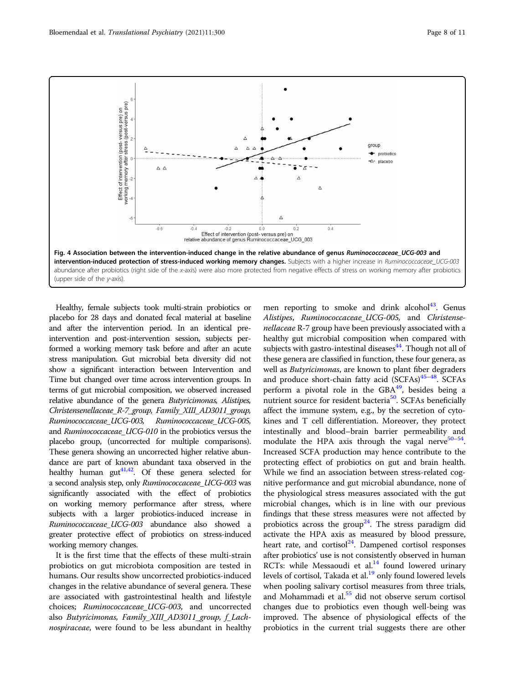<span id="page-7-0"></span>

Healthy, female subjects took multi-strain probiotics or placebo for 28 days and donated fecal material at baseline and after the intervention period. In an identical preintervention and post-intervention session, subjects performed a working memory task before and after an acute stress manipulation. Gut microbial beta diversity did not show a significant interaction between Intervention and Time but changed over time across intervention groups. In terms of gut microbial composition, we observed increased relative abundance of the genera Butyricimonas, Alistipes, Christensenellaceae R-7 group, Family XIII AD3011 group, Ruminococcaceae\_UCG-003, Ruminococcaceae\_UCG-005, and Ruminococcaceae\_UCG-010 in the probiotics versus the placebo group, (uncorrected for multiple comparisons). These genera showing an uncorrected higher relative abundance are part of known abundant taxa observed in the healthy human  $gut^{41,42}$ . Of these genera selected for a second analysis step, only Ruminococcaceae\_UCG-003 was significantly associated with the effect of probiotics on working memory performance after stress, where subjects with a larger probiotics-induced increase in Ruminococcaceae\_UCG-003 abundance also showed a greater protective effect of probiotics on stress-induced working memory changes.

It is the first time that the effects of these multi-strain probiotics on gut microbiota composition are tested in humans. Our results show uncorrected probiotics-induced changes in the relative abundance of several genera. These are associated with gastrointestinal health and lifestyle choices; Ruminococcaceae\_UCG-003, and uncorrected also Butyricimonas, Family\_XIII\_AD3011\_group, f\_Lachnospiraceae, were found to be less abundant in healthy men reporting to smoke and drink alcohol $43$ . Genus Alistipes, Ruminococcaceae\_UCG-005, and Christensenellaceae R-7 group have been previously associated with a healthy gut microbial composition when compared with subjects with gastro-intestinal diseases<sup>44</sup>. Though not all of these genera are classified in function, these four genera, as well as Butyricimonas, are known to plant fiber degraders and produce short-chain fatty acid  $(SCFAs)<sup>45-48</sup>$  $(SCFAs)<sup>45-48</sup>$  $(SCFAs)<sup>45-48</sup>$ . SCFAs perform a pivotal role in the  $GBA<sup>49</sup>$ , besides being a nutrient source for resident bacteria<sup>50</sup>. SCFAs beneficially affect the immune system, e.g., by the secretion of cytokines and T cell differentiation. Moreover, they protect intestinally and blood–brain barrier permeability and modulate the HPA axis through the vagal nerve<sup>[50](#page-10-0)–[54](#page-10-0)</sup>. Increased SCFA production may hence contribute to the protecting effect of probiotics on gut and brain health. While we find an association between stress-related cognitive performance and gut microbial abundance, none of the physiological stress measures associated with the gut microbial changes, which is in line with our previous findings that these stress measures were not affected by probiotics across the group<sup>24</sup>. The stress paradigm did activate the HPA axis as measured by blood pressure, heart rate, and cortisol<sup>24</sup>. Dampened cortisol responses after probiotics' use is not consistently observed in human RCTs: while Messaoudi et al. $14$  found lowered urinary levels of cortisol, Takada et al.<sup>19</sup> only found lowered levels when pooling salivary cortisol measures from three trials, and Mohammadi et al.<sup>[55](#page-10-0)</sup> did not observe serum cortisol changes due to probiotics even though well-being was improved. The absence of physiological effects of the probiotics in the current trial suggests there are other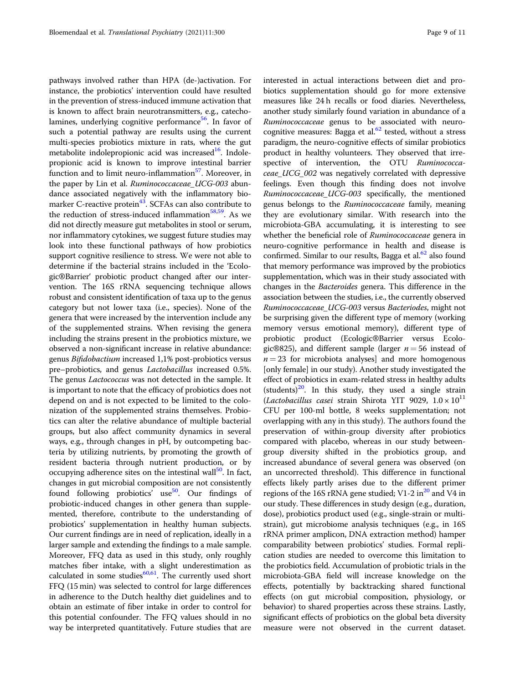pathways involved rather than HPA (de-)activation. For instance, the probiotics' intervention could have resulted in the prevention of stress-induced immune activation that is known to affect brain neurotransmitters, e.g., catecholamines, underlying cognitive performance<sup>56</sup>. In favor of such a potential pathway are results using the current multi-species probiotics mixture in rats, where the gut metabolite indolepropionic acid was increased $^{16}$ . Indolepropionic acid is known to improve intestinal barrier function and to limit neuro-inflammation<sup>57</sup>. Moreover, in the paper by Lin et al. Ruminococcaceae\_UCG-003 abundance associated negatively with the inflammatory biomarker C-reactive protein $43$ . SCFAs can also contribute to the reduction of stress-induced inflammation $58,59$ . As we did not directly measure gut metabolites in stool or serum, nor inflammatory cytokines, we suggest future studies may look into these functional pathways of how probiotics support cognitive resilience to stress. We were not able to determine if the bacterial strains included in the 'Ecologic®Barrier' probiotic product changed after our intervention. The 16S rRNA sequencing technique allows robust and consistent identification of taxa up to the genus category but not lower taxa (i.e., species). None of the genera that were increased by the intervention include any of the supplemented strains. When revising the genera including the strains present in the probiotics mixture, we observed a non-significant increase in relative abundance: genus Bifidobactium increased 1,1% post-probiotics versus pre–probiotics, and genus Lactobacillus increased 0.5%. The genus *Lactococcus* was not detected in the sample. It is important to note that the efficacy of probiotics does not depend on and is not expected to be limited to the colonization of the supplemented strains themselves. Probiotics can alter the relative abundance of multiple bacterial groups, but also affect community dynamics in several ways, e.g., through changes in pH, by outcompeting bacteria by utilizing nutrients, by promoting the growth of resident bacteria through nutrient production, or by occupying adherence sites on the intestinal wall<sup>[50](#page-10-0)</sup>. In fact, changes in gut microbial composition are not consistently found following probiotics' use<sup>50</sup>. Our findings of probiotic-induced changes in other genera than supplemented, therefore, contribute to the understanding of probiotics' supplementation in healthy human subjects. Our current findings are in need of replication, ideally in a larger sample and extending the findings to a male sample. Moreover, FFQ data as used in this study, only roughly matches fiber intake, with a slight underestimation as calculated in some studies $60,61$ . The currently used short FFQ (15 min) was selected to control for large differences in adherence to the Dutch healthy diet guidelines and to obtain an estimate of fiber intake in order to control for this potential confounder. The FFQ values should in no way be interpreted quantitatively. Future studies that are

interested in actual interactions between diet and probiotics supplementation should go for more extensive measures like 24 h recalls or food diaries. Nevertheless, another study similarly found variation in abundance of a Ruminococcaceae genus to be associated with neurocognitive measures: Bagga et al. $62$  tested, without a stress paradigm, the neuro-cognitive effects of similar probiotics product in healthy volunteers. They observed that irrespective of intervention, the OTU Ruminococcaceae\_UCG\_002 was negatively correlated with depressive feelings. Even though this finding does not involve Ruminococcaceae\_UCG-003 specifically, the mentioned genus belongs to the Ruminococcaceae family, meaning they are evolutionary similar. With research into the microbiota-GBA accumulating, it is interesting to see whether the beneficial role of Ruminococcaceae genera in neuro-cognitive performance in health and disease is confirmed. Similar to our results, Bagga et al. $62$  also found that memory performance was improved by the probiotics supplementation, which was in their study associated with changes in the Bacteroides genera. This difference in the association between the studies, i.e., the currently observed Ruminococcaceae\_UCG-003 versus Bacteriodes, might not be surprising given the different type of memory (working memory versus emotional memory), different type of probiotic product (Ecologic®Barrier versus Ecologic®825), and different sample (larger  $n = 56$  instead of  $n = 23$  for microbiota analyses] and more homogenous [only female] in our study). Another study investigated the effect of probiotics in exam-related stress in healthy adults (students)<sup>20</sup>. In this study, they used a single strain (Lactobacillus casei strain Shirota YIT 9029,  $1.0 \times 10^{11}$ CFU per 100-ml bottle, 8 weeks supplementation; not overlapping with any in this study). The authors found the preservation of within-group diversity after probiotics compared with placebo, whereas in our study betweengroup diversity shifted in the probiotics group, and increased abundance of several genera was observed (on an uncorrected threshold). This difference in functional effects likely partly arises due to the different primer regions of the 16S rRNA gene studied; V1-2 in<sup>[20](#page-9-0)</sup> and V4 in our study. These differences in study design (e.g., duration, dose), probiotics product used (e.g., single-strain or multistrain), gut microbiome analysis techniques (e.g., in 16S rRNA primer amplicon, DNA extraction method) hamper comparability between probiotics' studies. Formal replication studies are needed to overcome this limitation to the probiotics field. Accumulation of probiotic trials in the microbiota-GBA field will increase knowledge on the effects, potentially by backtracking shared functional effects (on gut microbial composition, physiology, or behavior) to shared properties across these strains. Lastly, significant effects of probiotics on the global beta diversity measure were not observed in the current dataset.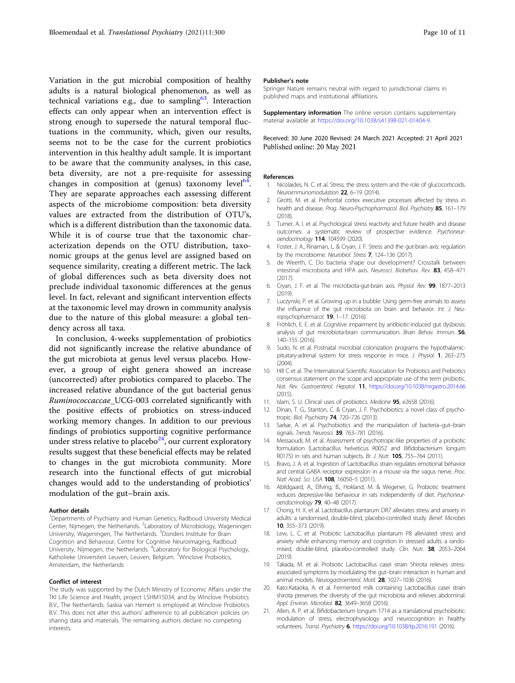<span id="page-9-0"></span>Variation in the gut microbial composition of healthy adults is a natural biological phenomenon, as well as technical variations e.g., due to sampling<sup>[63](#page-10-0)</sup>. Interaction effects can only appear when an intervention effect is strong enough to supersede the natural temporal fluctuations in the community, which, given our results, seems not to be the case for the current probiotics intervention in this healthy adult sample. It is important to be aware that the community analyses, in this case, beta diversity, are not a pre-requisite for assessing changes in composition at (genus) taxonomy level  $64$ . They are separate approaches each assessing different aspects of the microbiome composition: beta diversity values are extracted from the distribution of OTU's, which is a different distribution than the taxonomic data. While it is of course true that the taxonomic characterization depends on the OTU distribution, taxonomic groups at the genus level are assigned based on sequence similarity, creating a different metric. The lack of global differences such as beta diversity does not preclude individual taxonomic differences at the genus level. In fact, relevant and significant intervention effects at the taxonomic level may drown in community analysis due to the nature of this global measure: a global tendency across all taxa.

In conclusion, 4-weeks supplementation of probiotics did not significantly increase the relative abundance of the gut microbiota at genus level versus placebo. However, a group of eight genera showed an increase (uncorrected) after probiotics compared to placebo. The increased relative abundance of the gut bacterial genus Ruminococcaccae\_UCG-003 correlated significantly with the positive effects of probiotics on stress-induced working memory changes. In addition to our previous findings of probiotics supporting cognitive performance under stress relative to placebo $24$ , our current exploratory results suggest that these beneficial effects may be related to changes in the gut microbiota community. More research into the functional effects of gut microbial changes would add to the understanding of probiotics' modulation of the gut–brain axis.

#### Author details

<sup>1</sup>Departments of Psychiatry and Human Genetics, Radboud University Medical Center, Nijmegen, the Netherlands. <sup>2</sup> Laboratory of Microbiology, Wageningen University, Wageningen, The Netherlands. <sup>3</sup>Donders Institute for Brain Cognition and Behaviour, Centre for Cognitive Neuroimaging, Radboud University, Nijmegen, the Netherlands. <sup>4</sup>Laboratory for Biological Psychology, Katholieke Universiteit Leuven, Leuven, Belgium. <sup>5</sup>Winclove Probiotics, Amsterdam, the Netherlands

#### Conflict of interest

The study was supported by the Dutch Ministry of Economic Affairs under the TKI Life Science and Health, project LSHM15034, and by Winclove Probiotics B.V., The Netherlands. Saskia van Hemert is employed at Winclove Probiotics B.V. This does not alter this authors' adherence to all publication policies on sharing data and materials. The remaining authors declare no competing interests.

#### Publisher's note

Springer Nature remains neutral with regard to jurisdictional claims in published maps and institutional affiliations.

**Supplementary information** The online version contains supplementary material available at <https://doi.org/10.1038/s41398-021-01404-9>.

Received: 30 June 2020 Revised: 24 March 2021 Accepted: 21 April 2021 Published online: 20 May 2021

#### References

- 1. Nicolaides, N. C. et al. Stress, the stress system and the role of glucocorticoids. Neuroimmunomodulation 22, 6–19 (2014).
- 2. Girotti, M. et al. Prefrontal cortex executive processes affected by stress in health and disease. Prog. Neuro-Psychopharmacol. Biol. Psychiatry 85, 161-179 (2018).
- 3. Turner, A. I. et al. Psychological stress reactivity and future health and disease outcomes: a systematic review of prospective evidence. Psychoneuroendocrinology 114, 104599 (2020).
- 4. Foster, J. A., Rinaman, L. & Cryan, J. F. Stress and the gut-brain axis: regulation by the microbiome. Neurobiol. Stress 7, 124–136 (2017).
- 5. de Weerth, C. Do bacteria shape our development? Crosstalk between intestinal microbiota and HPA axis. Neurosci. Biobehav. Rev. 83, 458–471 (2017).
- 6. Cryan, J. F. et al. The microbiota-gut-brain axis. Physiol. Rev. 99, 1877–2013  $(2019)$
- 7. Luczynski, P. et al. Growing up in a bubble: Using germ-free animals to assess the influence of the gut microbiota on brain and behavior. Int. J. Neuropsychopharmacol. 19, 1–17. (2016).
- 8. Fröhlich, E. E. et al. Cognitive impairment by antibiotic-induced gut dysbiosis: analysis of qut microbiota-brain communication. Brain Behav. Immun. 56, 140–155 (2016).
- 9. Sudo, N. et al. Postnatal microbial colonization programs the hypothalamicpituitary-adrenal system for stress response in mice. J. Physiol. 1, 263–275  $(2004)$
- 10. Hill C et al. The International Scientific Association for Probiotics and Prebiotics consensus statement on the scope and appropriate use of the term probiotic. Nat. Rev. Gastroenterol. Hepatol. 11, <https://doi.org/10.1038/nrgastro.2014.66>  $(2015)$
- 11. Islam, S. U. Clinical uses of probiotics. Medicine 95, e2658 (2016).
- 12. Dinan, T. G., Stanton, C. & Cryan, J. F. Psychobiotics: a novel class of psychotropic. Biol. Psychiatry 74, 720–726 (2013).
- 13. Sarkar, A. et al. Psychobiotics and the manipulation of bacteria–gut–brain signals. Trends Neurosci. **39**, 763-781 (2016).
- 14. Messaoudi, M. et al. Assessment of psychotropic-like properties of a probiotic formulation (Lactobacillus helveticus R0052 and Bifidobacterium longum R0175) in rats and human subjects. Br. J. Nutr. 105, 755–764 (2011).
- 15. Bravo, J. A. et al. Ingestion of Lactobacillus strain regulates emotional behavior and central GABA receptor expression in a mouse via the vagus nerve. Proc. Natl Acad. Sci. USA 108, 16050-5 (2011).
- 16. Abildgaard, A., Elfving, B., Hokland, M. & Wegener, G. Probiotic treatment reduces depressive-like behaviour in rats independently of diet. Psychoneuroendocrinology 79, 40–48 (2017).
- 17. Chong, H. X. et al. Lactobacillus plantarum DR7 alleviates stress and anxiety in adults: a randomised, double-blind, placebo-controlled study. Benef. Microbes 10, 355–373 (2019).
- 18. Lew, L. C. et al. Probiotic Lactobacillus plantarum P8 alleviated stress and anxiety while enhancing memory and cognition in stressed adults: a randomised, double-blind, placebo-controlled study. Clin. Nutr. 38, 2053-2064  $(2019)$
- 19. Takada, M. et al. Probiotic Lactobacillus casei strain Shirota relieves stressassociated symptoms by modulating the gut–brain interaction in human and animal models. Neurogastroenterol. Motil. 28, 1027-1036 (2016).
- 20. Kato-Kataoka, A. et al. Fermented milk containing Lactobacillus casei strain shirota preserves the diversity of the gut microbiota and relieves abdominal. Appl. Environ. Microbiol. 82, 3649-3658 (2016).
- 21. Allen, A. P. et al. Bifidobacterium longum 1714 as a translational psychobiotic: modulation of stress, electrophysiology and neurocognition in healthy volunteers. Transl. Psychiatry 6, <https://doi.org/10.1038/tp.2016.191> (2016).